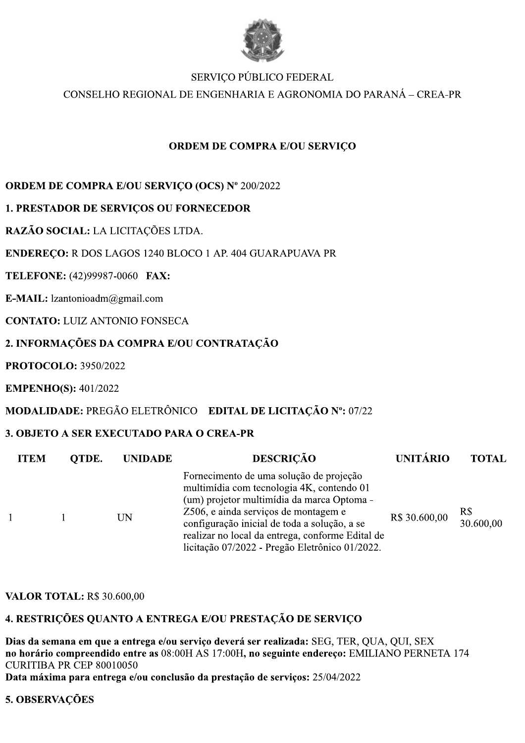

# SERVICO PÚBLICO FEDERAL

CONSELHO REGIONAL DE ENGENHARIA E AGRONOMIA DO PARANÁ – CREA-PR

# **ORDEM DE COMPRA E/OU SERVICO**

## ORDEM DE COMPRA E/OU SERVIÇO (OCS) Nº 200/2022

# **1. PRESTADOR DE SERVICOS OU FORNECEDOR**

# RAZÃO SOCIAL: LA LICITAÇÕES LTDA.

## **ENDERECO:** R DOS LAGOS 1240 BLOCO 1 AP. 404 GUARAPUAVA PR

# TELEFONE: (42)99987-0060 FAX:

E-MAIL:  $l$ zantonioadm $@g$ mail.com

# **CONTATO: LUIZ ANTONIO FONSECA**

# 2. INFORMAÇÕES DA COMPRA E/OU CONTRATAÇÃO

**PROTOCOLO: 3950/2022** 

**EMPENHO(S): 401/2022** 

## MODALIDADE: PREGÃO ELETRÔNICO EDITAL DE LICITAÇÃO Nº: 07/22

## 3. OBJETO A SER EXECUTADO PARA O CREA-PR

| <b>ITEM</b> | OTDE. | <b>UNIDADE</b> | <b>DESCRIÇÃO</b>                                                                                                                                                                                                                                                                                                                 | UNITÁRIO      | <b>TOTAL</b>     |
|-------------|-------|----------------|----------------------------------------------------------------------------------------------------------------------------------------------------------------------------------------------------------------------------------------------------------------------------------------------------------------------------------|---------------|------------------|
|             |       | UN             | Fornecimento de uma solução de projeção<br>multimídia com tecnologia 4K, contendo 01<br>(um) projetor multimídia da marca Optoma -<br>Z506, e ainda serviços de montagem e<br>configuração inicial de toda a solução, a se<br>realizar no local da entrega, conforme Edital de<br>licitação 07/2022 - Pregão Eletrônico 01/2022. | R\$ 30.600,00 | R\$<br>30.600,00 |

#### **VALOR TOTAL: R\$ 30.600.00**

## 4. RESTRIÇÕES QUANTO A ENTREGA E/OU PRESTAÇÃO DE SERVIÇO

Dias da semana em que a entrega e/ou serviço deverá ser realizada: SEG, TER, QUA, QUI, SEX no horário compreendido entre as 08:00H AS 17:00H, no seguinte endereço: EMILIANO PERNETA 174 **CURITIBA PR CEP 80010050** 

Data máxima para entrega e/ou conclusão da prestação de serviços: 25/04/2022

## 5. OBSERVAÇÕES